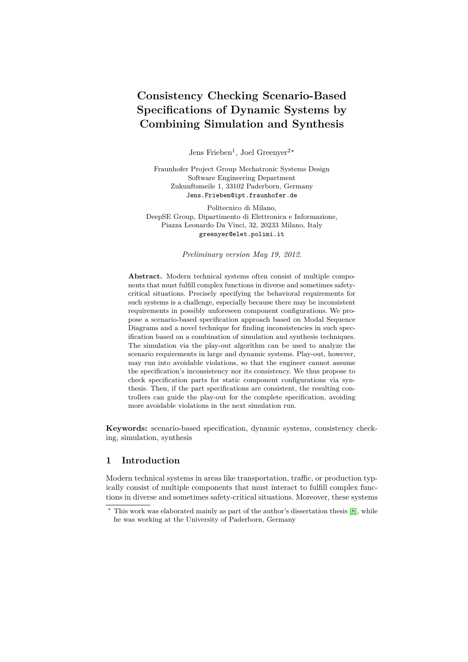# **Consistency Checking Scenario-Based Specifications of Dynamic Systems by Combining Simulation and Synthesis**

Jens Frieben<sup>1</sup>, Joel Greenyer<sup>2\*</sup>

Fraunhofer Project Group Mechatronic Systems Design Software Engineering Department Zukunftsmeile 1, 33102 Paderborn, Germany Jens.Frieben@ipt.fraunhofer.de

Politecnico di Milano, DeepSE Group, Dipartimento di Elettronica e Informazione, Piazza Leonardo Da Vinci, 32, 20233 Milano, Italy greenyer@elet.polimi.it

*Preliminary version May 19, 2012.*

Abstract. Modern technical systems often consist of multiple components that must fulfill complex functions in diverse and sometimes safetycritical situations. Precisely specifying the behavioral requirements for such systems is a challenge, especially because there may be inconsistent requirements in possibly unforeseen component configurations. We propose a scenario-based specification approach based on Modal Sequence Diagrams and a novel technique for finding inconsistencies in such specification based on a combination of simulation and synthesis techniques. The simulation via the play-out algorithm can be used to analyze the scenario requirements in large and dynamic systems. Play-out, however, may run into avoidable violations, so that the engineer cannot assume the specification's inconsistency nor its consistency. We thus propose to check specification parts for static component configurations via synthesis. Then, if the part specifications are consistent, the resulting controllers can guide the play-out for the complete specification, avoiding more avoidable violations in the next simulation run.

**Keywords:** scenario-based specification, dynamic systems, consistency checking, simulation, synthesis

## **1 Introduction**

Modern technical systems in areas like transportation, traffic, or production typically consist of multiple components that must interact to fulfill complex functions in diverse and sometimes safety-critical situations. Moreover, these systems

*<sup>?</sup>* This work was elaborated mainly as part of the author's dissertation thesis [\[8\]](#page-14-0), while he was working at the University of Paderborn, Germany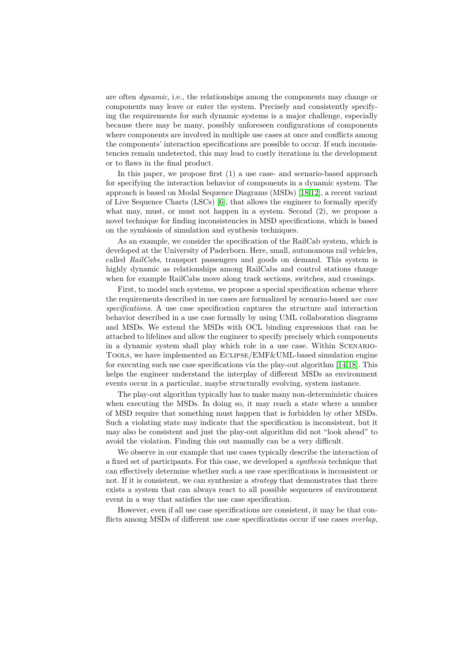are often *dynamic*, i.e., the relationships among the components may change or components may leave or enter the system. Precisely and consistently specifying the requirements for such dynamic systems is a major challenge, especially because there may be many, possibly unforeseen configurations of components where components are involved in multiple use cases at once and conflicts among the components' interaction specifications are possible to occur. If such inconsistencies remain undetected, this may lead to costly iterations in the development or to flaws in the final product.

In this paper, we propose first (1) a use case- and scenario-based approach for specifying the interaction behavior of components in a dynamic system. The approach is based on Modal Sequence Diagrams (MSDs) [\[18,](#page-14-1)[12\]](#page-14-2), a recent variant of Live Sequence Charts (LSCs) [\[6\]](#page-14-3), that allows the engineer to formally specify what may, must, or must not happen in a system. Second  $(2)$ , we propose a novel technique for finding inconsistencies in MSD specifications, which is based on the symbiosis of simulation and synthesis techniques.

As an example, we consider the specification of the RailCab system, which is developed at the University of Paderborn. Here, small, autonomous rail vehicles, called *RailCabs*, transport passengers and goods on demand. This system is highly dynamic as relationships among RailCabs and control stations change when for example RailCabs move along track sections, switches, and crossings.

First, to model such systems, we propose a special specification scheme where the requirements described in use cases are formalized by scenario-based *use case specifications*. A use case specification captures the structure and interaction behavior described in a use case formally by using UML collaboration diagrams and MSDs. We extend the MSDs with OCL binding expressions that can be attached to lifelines and allow the engineer to specify precisely which components in a dynamic system shall play which role in a use case. Within Scenario-Tools, we have implemented an Eclipse/EMF&UML-based simulation engine for executing such use case specifications via the play-out algorithm [\[14,](#page-14-4)[18\]](#page-14-1). This helps the engineer understand the interplay of different MSDs as environment events occur in a particular, maybe structurally evolving, system instance.

The play-out algorithm typically has to make many non-deterministic choices when executing the MSDs. In doing so, it may reach a state where a number of MSD require that something must happen that is forbidden by other MSDs. Such a violating state may indicate that the specification is inconsistent, but it may also be consistent and just the play-out algorithm did not "look ahead" to avoid the violation. Finding this out manually can be a very difficult.

We observe in our example that use cases typically describe the interaction of a fixed set of participants. For this case, we developed a *synthesis* technique that can effectively determine whether such a use case specifications is inconsistent or not. If it is consistent, we can synthesize a *strategy* that demonstrates that there exists a system that can always react to all possible sequences of environment event in a way that satisfies the use case specification.

However, even if all use case specifications are consistent, it may be that conflicts among MSDs of different use case specifications occur if use cases *overlap*,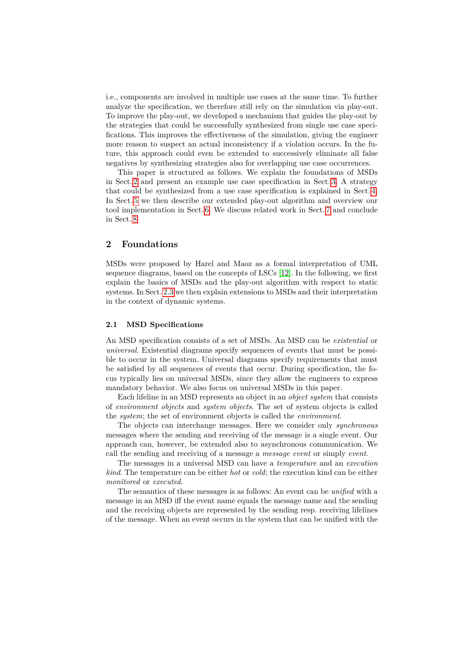i.e., components are involved in multiple use cases at the same time. To further analyze the specification, we therefore still rely on the simulation via play-out. To improve the play-out, we developed a mechanism that guides the play-out by the strategies that could be successfully synthesized from single use case specifications. This improves the effectiveness of the simulation, giving the engineer more reason to suspect an actual inconsistency if a violation occurs. In the future, this approach could even be extended to successively eliminate all false negatives by synthesizing strategies also for overlapping use case occurrences.

This paper is structured as follows. We explain the foundations of MSDs in Sect. [2](#page-2-0) and present an example use case specification in Sect. [3.](#page-6-0) A strategy that could be synthesized from a use case specification is explained in Sect. [4.](#page-8-0) In Sect. [5](#page-9-0) we then describe our extended play-out algorithm and overview our tool implementation in Sect. [6.](#page-11-0) We discuss related work in Sect. [7](#page-12-0) and conclude in Sect. [8.](#page-13-0)

# <span id="page-2-0"></span>**2 Foundations**

MSDs were proposed by Harel and Maoz as a formal interpretation of UML sequence diagrams, based on the concepts of LSCs [\[12\]](#page-14-2). In the following, we first explain the basics of MSDs and the play-out algorithm with respect to static systems. In Sect. [2.3](#page-4-0) we then explain extensions to MSDs and their interpretation in the context of dynamic systems.

#### **2.1 MSD Specifications**

An MSD specification consists of a set of MSDs. An MSD can be *existential* or *universal*. Existential diagrams specify sequences of events that must be possible to occur in the system. Universal diagrams specify requirements that must be satisfied by all sequences of events that occur. During specification, the focus typically lies on universal MSDs, since they allow the engineers to express mandatory behavior. We also focus on universal MSDs in this paper.

Each lifeline in an MSD represents an object in an *object system* that consists of *environment objects* and *system objects*. The set of system objects is called the *system*; the set of environment objects is called the *environment*.

The objects can interchange messages. Here we consider only *synchronous* messages where the sending and receiving of the message is a single event. Our approach can, however, be extended also to asynchronous communication. We call the sending and receiving of a message a *message event* or simply *event*.

The messages in a universal MSD can have a *temperature* and an *execution kind*. The temperature can be either *hot* or *cold*; the execution kind can be either *monitored* or *executed*.

The semantics of these messages is as follows: An event can be *unified* with a message in an MSD iff the event name equals the message name and the sending and the receiving objects are represented by the sending resp. receiving lifelines of the message. When an event occurs in the system that can be unified with the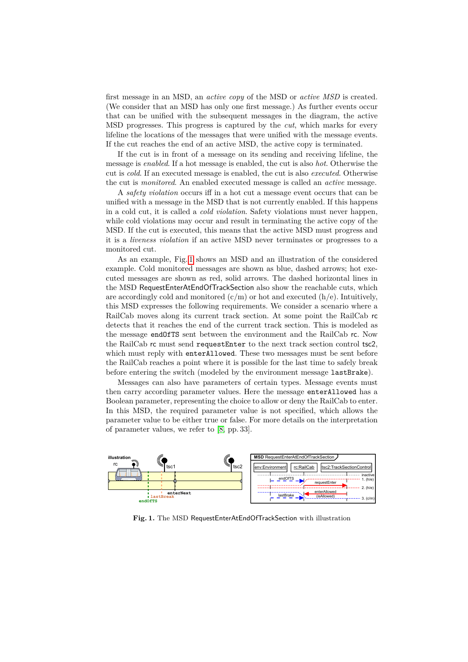first message in an MSD, an *active copy* of the MSD or *active MSD* is created. (We consider that an MSD has only one first message.) As further events occur that can be unified with the subsequent messages in the diagram, the active MSD progresses. This progress is captured by the *cut*, which marks for every lifeline the locations of the messages that were unified with the message events. If the cut reaches the end of an active MSD, the active copy is terminated.

If the cut is in front of a message on its sending and receiving lifeline, the message is *enabled*. If a hot message is enabled, the cut is also *hot*. Otherwise the cut is *cold*. If an executed message is enabled, the cut is also *executed*. Otherwise the cut is *monitored*. An enabled executed message is called an *active* message.

A *safety violation* occurs iff in a hot cut a message event occurs that can be unified with a message in the MSD that is not currently enabled. If this happens in a cold cut, it is called a *cold violation*. Safety violations must never happen, while cold violations may occur and result in terminating the active copy of the MSD. If the cut is executed, this means that the active MSD must progress and it is a *liveness violation* if an active MSD never terminates or progresses to a monitored cut.

As an example, Fig. [1](#page-3-0) shows an MSD and an illustration of the considered example. Cold monitored messages are shown as blue, dashed arrows; hot executed messages are shown as red, solid arrows. The dashed horizontal lines in the MSD RequestEnterAtEndOfTrackSection also show the reachable cuts, which are accordingly cold and monitored  $(c/m)$  or hot and executed  $(h/e)$ . Intuitively, this MSD expresses the following requirements. We consider a scenario where a RailCab moves along its current track section. At some point the RailCab rc detects that it reaches the end of the current track section. This is modeled as the message endOfTS sent between the environment and the RailCab rc. Now the RailCab rc must send requestEnter to the next track section control tsc2, which must reply with enterAllowed. These two messages must be sent before the RailCab reaches a point where it is possible for the last time to safely break before entering the switch (modeled by the environment message lastBrake).

Messages can also have parameters of certain types. Message events must then carry according parameter values. Here the message enterAllowed has a Boolean parameter, representing the choice to allow or deny the RailCab to enter. In this MSD, the required parameter value is not specified, which allows the parameter value to be either true or false. For more details on the interpretation of parameter values, we refer to [\[8,](#page-14-0) pp. 33].



<span id="page-3-0"></span>**Fig. 1.** The MSD RequestEnterAtEndOfTrackSection with illustration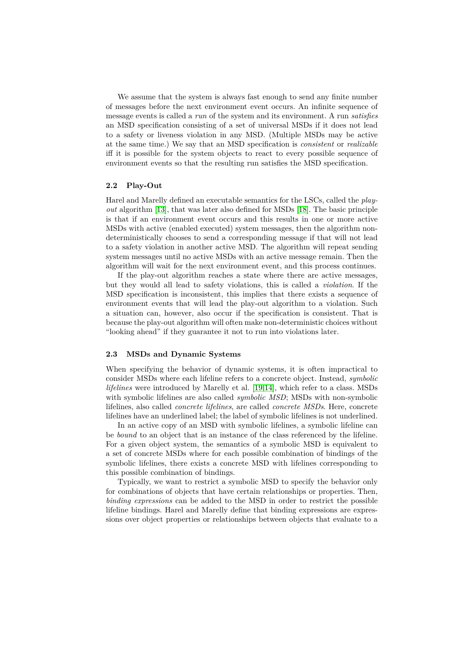We assume that the system is always fast enough to send any finite number of messages before the next environment event occurs. An infinite sequence of message events is called a *run* of the system and its environment. A run *satisfies* an MSD specification consisting of a set of universal MSDs if it does not lead to a safety or liveness violation in any MSD. (Multiple MSDs may be active at the same time.) We say that an MSD specification is *consistent* or *realizable* iff it is possible for the system objects to react to every possible sequence of environment events so that the resulting run satisfies the MSD specification.

# **2.2 Play-Out**

Harel and Marelly defined an executable semantics for the LSCs, called the *playout* algorithm [\[13\]](#page-14-5), that was later also defined for MSDs [\[18\]](#page-14-1). The basic principle is that if an environment event occurs and this results in one or more active MSDs with active (enabled executed) system messages, then the algorithm nondeterministically chooses to send a corresponding message if that will not lead to a safety violation in another active MSD. The algorithm will repeat sending system messages until no active MSDs with an active message remain. Then the algorithm will wait for the next environment event, and this process continues.

If the play-out algorithm reaches a state where there are active messages, but they would all lead to safety violations, this is called a *violation*. If the MSD specification is inconsistent, this implies that there exists a sequence of environment events that will lead the play-out algorithm to a violation. Such a situation can, however, also occur if the specification is consistent. That is because the play-out algorithm will often make non-deterministic choices without "looking ahead" if they guarantee it not to run into violations later.

#### <span id="page-4-0"></span>**2.3 MSDs and Dynamic Systems**

When specifying the behavior of dynamic systems, it is often impractical to consider MSDs where each lifeline refers to a concrete object. Instead, *symbolic lifelines* were introduced by Marelly et al. [\[19,](#page-14-6)[14\]](#page-14-4), which refer to a class. MSDs with symbolic lifelines are also called *symbolic MSD*; MSDs with non-symbolic lifelines, also called *concrete lifelines*, are called *concrete MSDs*. Here, concrete lifelines have an underlined label; the label of symbolic lifelines is not underlined.

In an active copy of an MSD with symbolic lifelines, a symbolic lifeline can be *bound* to an object that is an instance of the class referenced by the lifeline. For a given object system, the semantics of a symbolic MSD is equivalent to a set of concrete MSDs where for each possible combination of bindings of the symbolic lifelines, there exists a concrete MSD with lifelines corresponding to this possible combination of bindings.

Typically, we want to restrict a symbolic MSD to specify the behavior only for combinations of objects that have certain relationships or properties. Then, *binding expressions* can be added to the MSD in order to restrict the possible lifeline bindings. Harel and Marelly define that binding expressions are expressions over object properties or relationships between objects that evaluate to a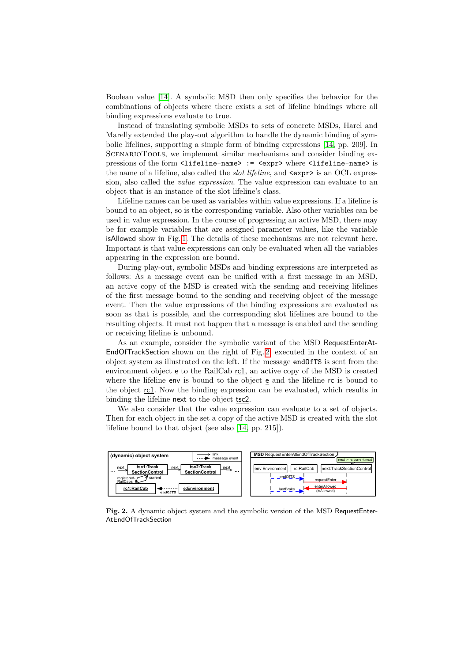Boolean value [\[14\]](#page-14-4). A symbolic MSD then only specifies the behavior for the combinations of objects where there exists a set of lifeline bindings where all binding expressions evaluate to true.

Instead of translating symbolic MSDs to sets of concrete MSDs, Harel and Marelly extended the play-out algorithm to handle the dynamic binding of symbolic lifelines, supporting a simple form of binding expressions [\[14,](#page-14-4) pp. 209]. In SCENARIOTOOLS, we implement similar mechanisms and consider binding expressions of the form <lifeline-name> := <expr> where <lifeline-name> is the name of a lifeline, also called the *slot lifeline*, and <expr> is an OCL expression, also called the *value expression*. The value expression can evaluate to an object that is an instance of the slot lifeline's class.

Lifeline names can be used as variables within value expressions. If a lifeline is bound to an object, so is the corresponding variable. Also other variables can be used in value expression. In the course of progressing an active MSD, there may be for example variables that are assigned parameter values, like the variable isAllowed show in Fig. [1.](#page-3-0) The details of these mechanisms are not relevant here. Important is that value expressions can only be evaluated when all the variables appearing in the expression are bound.

During play-out, symbolic MSDs and binding expressions are interpreted as follows: As a message event can be unified with a first message in an MSD, an active copy of the MSD is created with the sending and receiving lifelines of the first message bound to the sending and receiving object of the message event. Then the value expressions of the binding expressions are evaluated as soon as that is possible, and the corresponding slot lifelines are bound to the resulting objects. It must not happen that a message is enabled and the sending or receiving lifeline is unbound.

As an example, consider the symbolic variant of the MSD RequestEnterAt-EndOfTrackSection shown on the right of Fig. [2,](#page-5-0) executed in the context of an object system as illustrated on the left. If the message endOfTS is sent from the environment object  $\underline{e}$  to the RailCab rc1, an active copy of the MSD is created where the lifeline env is bound to the object  $e$  and the lifeline rc is bound to the object rc1. Now the binding expression can be evaluated, which results in binding the lifeline next to the object tsc2.

We also consider that the value expression can evaluate to a set of objects. Then for each object in the set a copy of the active MSD is created with the slot lifeline bound to that object (see also [\[14,](#page-14-4) pp. 215]).



<span id="page-5-0"></span>**Fig. 2.** A dynamic object system and the symbolic version of the MSD RequestEnter-AtEndOfTrackSection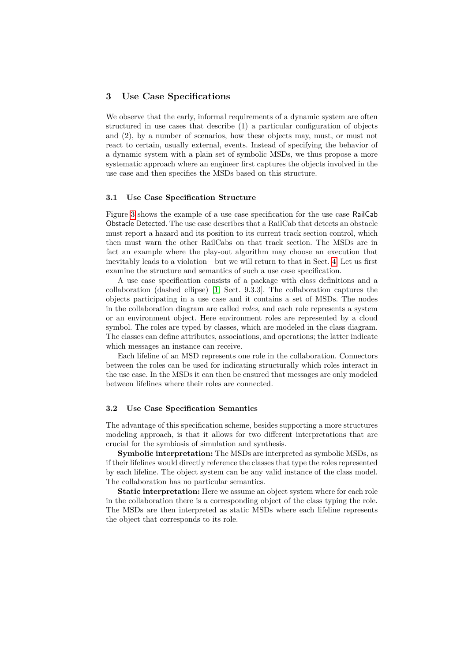## <span id="page-6-0"></span>**3 Use Case Specifications**

We observe that the early, informal requirements of a dynamic system are often structured in use cases that describe (1) a particular configuration of objects and (2), by a number of scenarios, how these objects may, must, or must not react to certain, usually external, events. Instead of specifying the behavior of a dynamic system with a plain set of symbolic MSDs, we thus propose a more systematic approach where an engineer first captures the objects involved in the use case and then specifies the MSDs based on this structure.

#### **3.1 Use Case Specification Structure**

Figure [3](#page-7-0) shows the example of a use case specification for the use case RailCab Obstacle Detected. The use case describes that a RailCab that detects an obstacle must report a hazard and its position to its current track section control, which then must warn the other RailCabs on that track section. The MSDs are in fact an example where the play-out algorithm may choose an execution that inevitably leads to a violation—but we will return to that in Sect. [4.](#page-8-0) Let us first examine the structure and semantics of such a use case specification.

A use case specification consists of a package with class definitions and a collaboration (dashed ellipse) [\[1,](#page-13-1) Sect. 9.3.3]. The collaboration captures the objects participating in a use case and it contains a set of MSDs. The nodes in the collaboration diagram are called *roles*, and each role represents a system or an environment object. Here environment roles are represented by a cloud symbol. The roles are typed by classes, which are modeled in the class diagram. The classes can define attributes, associations, and operations; the latter indicate which messages an instance can receive.

Each lifeline of an MSD represents one role in the collaboration. Connectors between the roles can be used for indicating structurally which roles interact in the use case. In the MSDs it can then be ensured that messages are only modeled between lifelines where their roles are connected.

#### **3.2 Use Case Specification Semantics**

The advantage of this specification scheme, besides supporting a more structures modeling approach, is that it allows for two different interpretations that are crucial for the symbiosis of simulation and synthesis.

**Symbolic interpretation:** The MSDs are interpreted as symbolic MSDs, as if their lifelines would directly reference the classes that type the roles represented by each lifeline. The object system can be any valid instance of the class model. The collaboration has no particular semantics.

**Static interpretation:** Here we assume an object system where for each role in the collaboration there is a corresponding object of the class typing the role. The MSDs are then interpreted as static MSDs where each lifeline represents the object that corresponds to its role.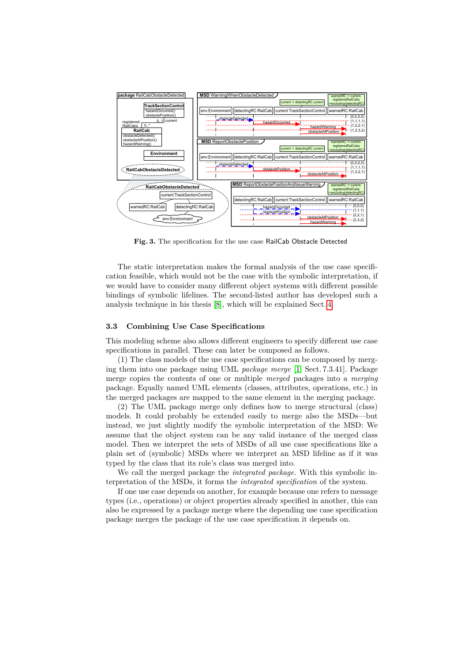

<span id="page-7-0"></span>**Fig. 3.** The specification for the use case RailCab Obstacle Detected

The static interpretation makes the formal analysis of the use case specification feasible, which would not be the case with the symbolic interpretation, if we would have to consider many different object systems with different possible bindings of symbolic lifelines. The second-listed author has developed such a analysis technique in his thesis [\[8\]](#page-14-0), which will be explained Sect. [4.](#page-8-0)

#### **3.3 Combining Use Case Specifications**

This modeling scheme also allows different engineers to specify different use case specifications in parallel. These can later be composed as follows.

(1) The class models of the use case specifications can be composed by merging them into one package using UML *package merge* [\[1,](#page-13-1) Sect. 7.3.41]. Package merge copies the contents of one or multiple *merged* packages into a *merging* package. Equally named UML elements (classes, attributes, operations, etc.) in the merged packages are mapped to the same element in the merging package.

(2) The UML package merge only defines how to merge structural (class) models. It could probably be extended easily to merge also the MSDs—but instead, we just slightly modify the symbolic interpretation of the MSD: We assume that the object system can be any valid instance of the merged class model. Then we interpret the sets of MSDs of all use case specifications like a plain set of (symbolic) MSDs where we interpret an MSD lifeline as if it was typed by the class that its role's class was merged into.

We call the merged package the *integrated package*. With this symbolic interpretation of the MSDs, it forms the *integrated specification* of the system.

If one use case depends on another, for example because one refers to message types (i.e., operations) or object properties already specified in another, this can also be expressed by a package merge where the depending use case specification package merges the package of the use case specification it depends on.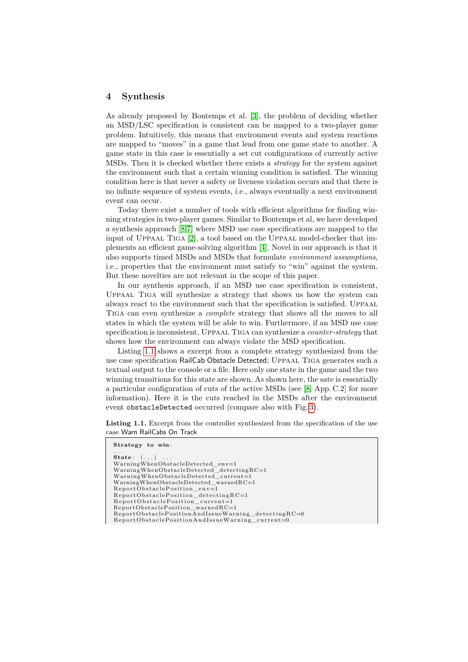## <span id="page-8-0"></span>**4 Synthesis**

As already proposed by Bontemps et al. [\[3\]](#page-13-2), the problem of deciding whether an MSD/LSC specification is consistent can be mapped to a two-player game problem. Intuitively, this means that environment events and system reactions are mapped to "moves" in a game that lead from one game state to another. A game state in this case is essentially a set cut configurations of currently active MSDs. Then it is checked whether there exists a *strategy* for the system against the environment such that a certain winning condition is satisfied. The winning condition here is that never a safety or liveness violation occurs and that there is no infinite sequence of system events, i.e., always eventually a next environment event can occur.

Today there exist a number of tools with efficient algorithms for finding winning strategies in two-player games. Similar to Bontemps et al, we have developed a synthesis approach [\[8,](#page-14-0)[7\]](#page-14-7) where MSD use case specifications are mapped to the input of Uppaal Tiga [\[2\]](#page-13-3), a tool based on the Uppaal model-checker that implements an efficient game-solving algorithm [\[4\]](#page-13-4). Novel in our approach is that it also supports timed MSDs and MSDs that formulate *environment assumptions*, i.e., properties that the environment must satisfy to "win" against the system. But these novelties are not relevant in the scope of this paper.

In our synthesis approach, if an MSD use case specification is consistent, Uppaal Tiga will synthesize a strategy that shows us how the system can always react to the environment such that the specification is satisfied. UPPAAL Tiga can even synthesize a *complete* strategy that shows all the moves to all states in which the system will be able to win. Furthermore, if an MSD use case specification is inconsistent, Uppaal Tiga can synthesize a *counter-strategy* that shows how the environment can always violate the MSD specification.

Listing [1.1](#page-8-1) shows a excerpt from a complete strategy synthesized from the use case specification RailCab Obstacle Detected; UPPAAL TIGA generates such a textual output to the console or a file. Here only one state in the game and the two winning transitions for this state are shown. As shown here, the sate is essentially a particular configuration of cuts of the active MSDs (see [\[8,](#page-14-0) App. C.2] for more information). Here it is the cuts reached in the MSDs after the environment event obstacleDetected occurred (compare also with Fig. [3\)](#page-7-0).

```
Strategy to win :
. . .<br>State : (\ldots) . . .
WarningWhenObstacleDetected_env=1
WarningWhenObstacleDetected = detectingRC=1WarningWhenObstack^-{\text{D}}{etected\_current}WarningWhenObstacleDetected_warnedRC=1
ReportObstackPosition\_env=1{\bf ReportOb} {\bf statePosition\_detecting RC=1}\text{ReportObstaclePosition\_current=1}ReportObstaclePosition_warnedRC=1
\overline{\text{ReportOb}}staclePositionAndIssueWarning_detectingRC=0
{\bf ReportO}{}{\bf b}{}{\bf statePosition}{}{\bf AndI}{}{\bf s}{}{\bf sue}{}{\bf Warning\_current=0}
```
<span id="page-8-1"></span>Listing 1.1. Excerpt from the controller synthesized from the specification of the use case Warn RailCabs On Track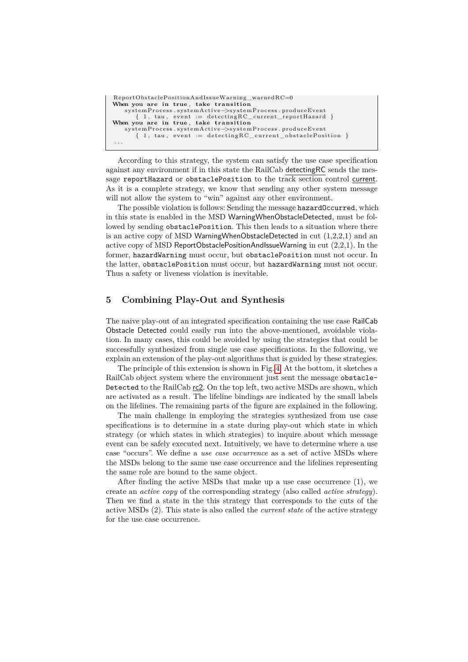```
ReportObstac lePos it ionAndIssueWarn ing_warnedRC=0
When you are in true, take transition
   systemProcess.systemActive->systemProcess.produceEvent
       \{1, \text{ tau}, \text{ event} := \text{detectingRC\_current\_reportHazard}\}When you are in true, take transition
   systemProcess.systemActive->systemProcess.produceEvent
       \{ 1, \text{ tau}, \text{ event} := \text{detectingRC\_current\_obstaclePosition} \}. . .
```
According to this strategy, the system can satisfy the use case specification against any environment if in this state the RailCab detectingRC sends the message reportHazard or obstaclePosition to the track section control current. As it is a complete strategy, we know that sending any other system message will not allow the system to "win" against any other environment.

The possible violation is follows: Sending the message hazardOccurred, which in this state is enabled in the MSD WarningWhenObstacleDetected, must be followed by sending obstaclePosition. This then leads to a situation where there is an active copy of MSD WarningWhenObstacleDetected in cut (1,2,2,1) and an active copy of MSD ReportObstaclePositionAndIssueWarning in cut (2,2,1). In the former, hazardWarning must occur, but obstaclePosition must not occur. In the latter, obstaclePosition must occur, but hazardWarning must not occur. Thus a safety or liveness violation is inevitable.

# <span id="page-9-0"></span>**5 Combining Play-Out and Synthesis**

The naive play-out of an integrated specification containing the use case RailCab Obstacle Detected could easily run into the above-mentioned, avoidable violation. In many cases, this could be avoided by using the strategies that could be successfully synthesized from single use case specifications. In the following, we explain an extension of the play-out algorithms that is guided by these strategies.

The principle of this extension is shown in Fig. [4.](#page-10-0) At the bottom, it sketches a RailCab object system where the environment just sent the message obstacle-Detected to the RailCab rc2. On the top left, two active MSDs are shown, which are activated as a result. The lifeline bindings are indicated by the small labels on the lifelines. The remaining parts of the figure are explained in the following.

The main challenge in employing the strategies synthesized from use case specifications is to determine in a state during play-out which state in which strategy (or which states in which strategies) to inquire about which message event can be safely executed next. Intuitively, we have to determine where a use case "occurs". We define a *use case occurrence* as a set of active MSDs where the MSDs belong to the same use case occurrence and the lifelines representing the same role are bound to the same object.

After finding the active MSDs that make up a use case occurrence (1), we create an *active copy* of the corresponding strategy (also called *active strategy*). Then we find a state in the this strategy that corresponds to the cuts of the active MSDs (2). This state is also called the *current state* of the active strategy for the use case occurrence.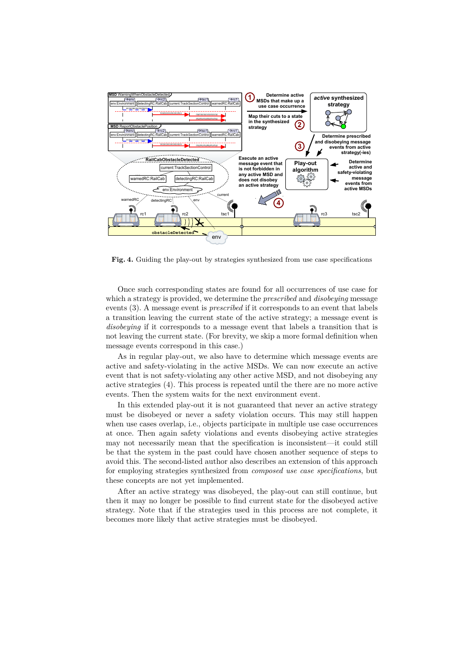

<span id="page-10-0"></span>**Fig. 4.** Guiding the play-out by strategies synthesized from use case specifications

Once such corresponding states are found for all occurrences of use case for which a strategy is provided, we determine the *prescribed* and *disobeying* message events (3). A message event is *prescribed* if it corresponds to an event that labels a transition leaving the current state of the active strategy; a message event is *disobeying* if it corresponds to a message event that labels a transition that is not leaving the current state. (For brevity, we skip a more formal definition when message events correspond in this case.)

As in regular play-out, we also have to determine which message events are active and safety-violating in the active MSDs. We can now execute an active event that is not safety-violating any other active MSD, and not disobeying any active strategies (4). This process is repeated until the there are no more active events. Then the system waits for the next environment event.

In this extended play-out it is not guaranteed that never an active strategy must be disobeyed or never a safety violation occurs. This may still happen when use cases overlap, i.e., objects participate in multiple use case occurrences at once. Then again safety violations and events disobeying active strategies may not necessarily mean that the specification is inconsistent—it could still be that the system in the past could have chosen another sequence of steps to avoid this. The second-listed author also describes an extension of this approach for employing strategies synthesized from *composed use case specifications*, but these concepts are not yet implemented.

After an active strategy was disobeyed, the play-out can still continue, but then it may no longer be possible to find current state for the disobeyed active strategy. Note that if the strategies used in this process are not complete, it becomes more likely that active strategies must be disobeyed.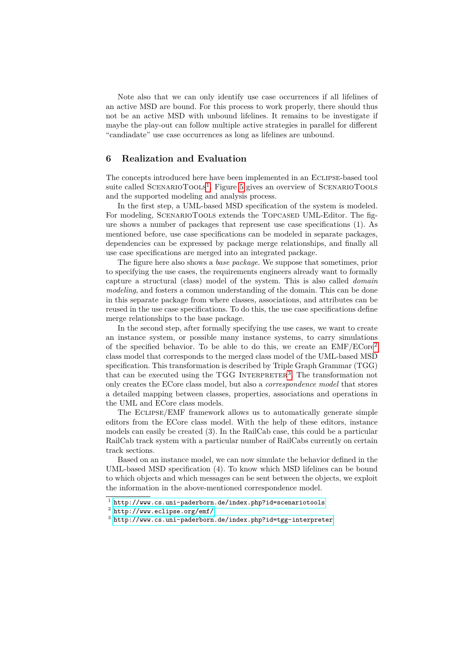Note also that we can only identify use case occurrences if all lifelines of an active MSD are bound. For this process to work properly, there should thus not be an active MSD with unbound lifelines. It remains to be investigate if maybe the play-out can follow multiple active strategies in parallel for different "candiadate" use case occurrences as long as lifelines are unbound.

# <span id="page-11-0"></span>**6 Realization and Evaluation**

The concepts introduced here have been implemented in an Eclipse-based tool suite called SCENARIOTOOLS<sup>[1](#page-11-1)</sup>. Figure [5](#page-12-1) gives an overview of SCENARIOTOOLS and the supported modeling and analysis process.

In the first step, a UML-based MSD specification of the system is modeled. For modeling, SCENARIOTOOLS extends the TOPCASED UML-Editor. The figure shows a number of packages that represent use case specifications (1). As mentioned before, use case specifications can be modeled in separate packages, dependencies can be expressed by package merge relationships, and finally all use case specifications are merged into an integrated package.

The figure here also shows a *base package*. We suppose that sometimes, prior to specifying the use cases, the requirements engineers already want to formally capture a structural (class) model of the system. This is also called *domain modeling*, and fosters a common understanding of the domain. This can be done in this separate package from where classes, associations, and attributes can be reused in the use case specifications. To do this, the use case specifications define merge relationships to the base package.

In the second step, after formally specifying the use cases, we want to create an instance system, or possible many instance systems, to carry simulations of the specified behavior. To be able to do this, we create an EMF/ECore[2](#page-11-2) class model that corresponds to the merged class model of the UML-based MSD specification. This transformation is described by Triple Graph Grammar (TGG) that can be executed using the TGG INTERPRETER<sup>[3](#page-11-3)</sup>. The transformation not only creates the ECore class model, but also a *correspondence model* that stores a detailed mapping between classes, properties, associations and operations in the UML and ECore class models.

The Eclipse/EMF framework allows us to automatically generate simple editors from the ECore class model. With the help of these editors, instance models can easily be created (3). In the RailCab case, this could be a particular RailCab track system with a particular number of RailCabs currently on certain track sections.

Based on an instance model, we can now simulate the behavior defined in the UML-based MSD specification (4). To know which MSD lifelines can be bound to which objects and which messages can be sent between the objects, we exploit the information in the above-mentioned correspondence model.

<span id="page-11-1"></span> $^1$  <http://www.cs.uni-paderborn.de/index.php?id=scenariotools>

<span id="page-11-2"></span> $^2$  <http://www.eclipse.org/emf/>

<span id="page-11-3"></span> $^3$  <http://www.cs.uni-paderborn.de/index.php?id=tgg-interpreter>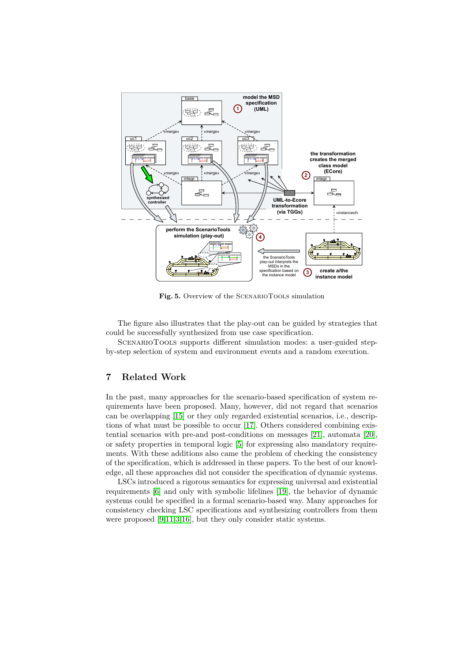

<span id="page-12-1"></span>Fig. 5. Overview of the SCENARIOTOOLS simulation

The figure also illustrates that the play-out can be guided by strategies that could be successfully synthesized from use case specification.

SCENARIOTOOLS supports different simulation modes: a user-guided stepby-step selection of system and environment events and a random execution.

# <span id="page-12-0"></span>**7 Related Work**

In the past, many approaches for the scenario-based specification of system requirements have been proposed. Many, however, did not regard that scenarios can be overlapping [\[15\]](#page-14-8) or they only regarded existential scenarios, i.e., descriptions of what must be possible to occur [\[17\]](#page-14-9). Others considered combining existential scenarios with pre-and post-conditions on messages [\[21\]](#page-14-10), automata [\[20\]](#page-14-11), or safety properties in temporal logic [\[5\]](#page-14-12) for expressing also mandatory requirements. With these additions also came the problem of checking the consistency of the specification, which is addressed in these papers. To the best of our knowledge, all these approaches did not consider the specification of dynamic systems.

LSCs introduced a rigorous semantics for expressing universal and existential requirements [\[6\]](#page-14-3) and only with symbolic lifelines [\[19\]](#page-14-6), the behavior of dynamic systems could be specified in a formal scenario-based way. Many approaches for consistency checking LSC specifications and synthesizing controllers from them were proposed [\[9,](#page-14-13)[11,](#page-14-14)[3](#page-13-2)[,16\]](#page-14-15), but they only consider static systems.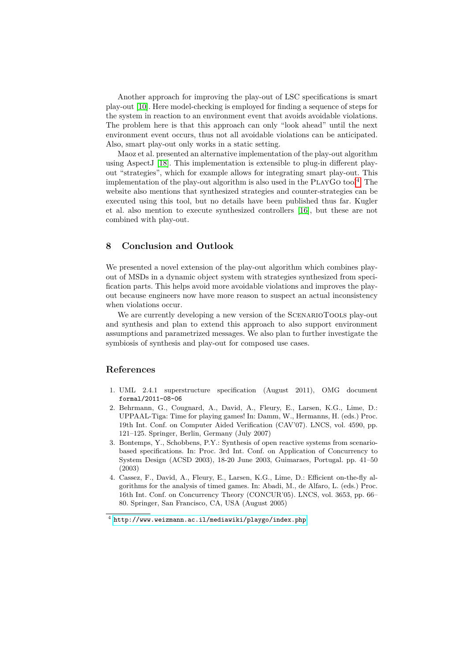Another approach for improving the play-out of LSC specifications is smart play-out [\[10\]](#page-14-16). Here model-checking is employed for finding a sequence of steps for the system in reaction to an environment event that avoids avoidable violations. The problem here is that this approach can only "look ahead" until the next environment event occurs, thus not all avoidable violations can be anticipated. Also, smart play-out only works in a static setting.

Maoz et al. presented an alternative implementation of the play-out algorithm using AspectJ [\[18\]](#page-14-1). This implementation is extensible to plug-in different playout "strategies", which for example allows for integrating smart play-out. This implementation of the play-out algorithm is also used in the PLAYGO tool<sup>[4](#page-13-5)</sup>. The website also mentions that synthesized strategies and counter-strategies can be executed using this tool, but no details have been published thus far. Kugler et al. also mention to execute synthesized controllers [\[16\]](#page-14-15), but these are not combined with play-out.

## <span id="page-13-0"></span>**8 Conclusion and Outlook**

We presented a novel extension of the play-out algorithm which combines playout of MSDs in a dynamic object system with strategies synthesized from specification parts. This helps avoid more avoidable violations and improves the playout because engineers now have more reason to suspect an actual inconsistency when violations occur.

We are currently developing a new version of the SCENARIOTOOLS play-out and synthesis and plan to extend this approach to also support environment assumptions and parametrized messages. We also plan to further investigate the symbiosis of synthesis and play-out for composed use cases.

## **References**

- <span id="page-13-1"></span>1. UML 2.4.1 superstructure specification (August 2011), OMG document formal/2011-08-06
- <span id="page-13-3"></span>2. Behrmann, G., Cougnard, A., David, A., Fleury, E., Larsen, K.G., Lime, D.: UPPAAL-Tiga: Time for playing games! In: Damm, W., Hermanns, H. (eds.) Proc. 19th Int. Conf. on Computer Aided Verification (CAV'07). LNCS, vol. 4590, pp. 121–125. Springer, Berlin, Germany (July 2007)
- <span id="page-13-2"></span>3. Bontemps, Y., Schobbens, P.Y.: Synthesis of open reactive systems from scenariobased specifications. In: Proc. 3rd Int. Conf. on Application of Concurrency to System Design (ACSD 2003), 18-20 June 2003, Guimaraes, Portugal. pp. 41–50 (2003)
- <span id="page-13-4"></span>4. Cassez, F., David, A., Fleury, E., Larsen, K.G., Lime, D.: Efficient on-the-fly algorithms for the analysis of timed games. In: Abadi, M., de Alfaro, L. (eds.) Proc. 16th Int. Conf. on Concurrency Theory (CONCUR'05). LNCS, vol. 3653, pp. 66– 80. Springer, San Francisco, CA, USA (August 2005)

<span id="page-13-5"></span> $^4$  <http://www.weizmann.ac.il/mediawiki/playgo/index.php>